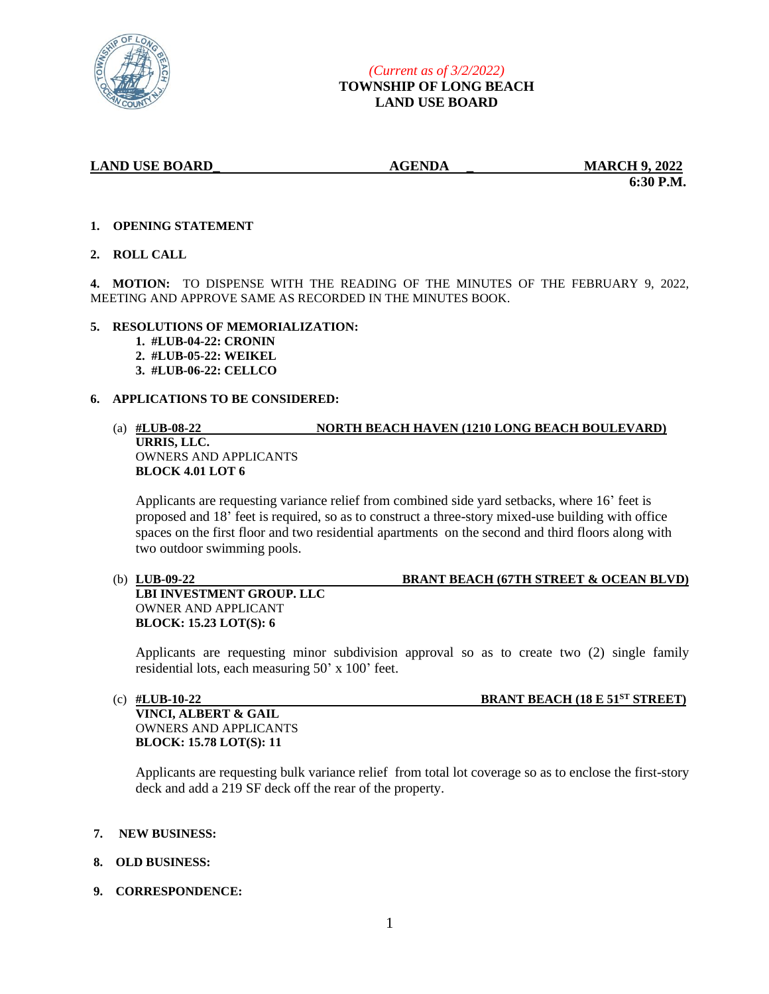

 **6:30 P.M.**

## **1. OPENING STATEMENT**

**2. ROLL CALL**

**4. MOTION:** TO DISPENSE WITH THE READING OF THE MINUTES OF THE FEBRUARY 9, 2022, MEETING AND APPROVE SAME AS RECORDED IN THE MINUTES BOOK.

## **5. RESOLUTIONS OF MEMORIALIZATION:**

- **1. #LUB-04-22: CRONIN**
- **2. #LUB-05-22: WEIKEL**
- **3. #LUB-06-22: CELLCO**

## **6. APPLICATIONS TO BE CONSIDERED:**

## (a) **#LUB-08-22 NORTH BEACH HAVEN (1210 LONG BEACH BOULEVARD) URRIS, LLC.** OWNERS AND APPLICANTS **BLOCK 4.01 LOT 6**

Applicants are requesting variance relief from combined side yard setbacks, where 16' feet is proposed and 18' feet is required, so as to construct a three-story mixed-use building with office spaces on the first floor and two residential apartments on the second and third floors along with two outdoor swimming pools.

# (b) **LUB-09-22 BRANT BEACH (67TH STREET & OCEAN BLVD)**

**LBI INVESTMENT GROUP. LLC** OWNER AND APPLICANT **BLOCK: 15.23 LOT(S): 6**

Applicants are requesting minor subdivision approval so as to create two (2) single family residential lots, each measuring 50' x 100' feet.

# (c) **#LUB-10-22 BRANT BEACH (18 E 51ST STREET)**

**VINCI, ALBERT & GAIL** OWNERS AND APPLICANTS **BLOCK: 15.78 LOT(S): 11**

Applicants are requesting bulk variance relief from total lot coverage so as to enclose the first-story deck and add a 219 SF deck off the rear of the property.

#### **7. NEW BUSINESS:**

# **8. OLD BUSINESS:**

**9. CORRESPONDENCE:**